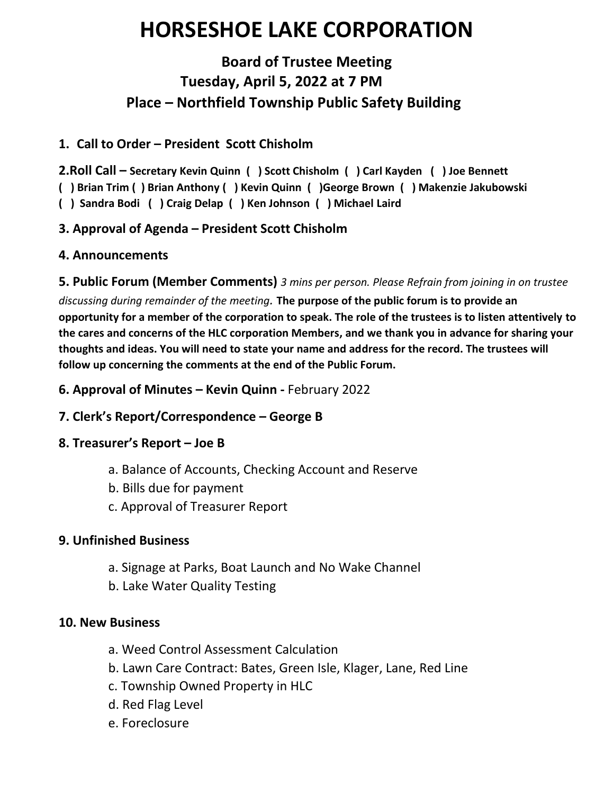# **HORSESHOE LAKE CORPORATION**

# **Board of Trustee Meeting Tuesday, April 5, 2022 at 7 PM Place – Northfield Township Public Safety Building**

### **1. Call to Order – President Scott Chisholm**

**2.Roll Call – Secretary Kevin Quinn ( ) Scott Chisholm ( ) Carl Kayden ( ) Joe Bennett** 

**( ) Brian Trim ( ) Brian Anthony ( ) Kevin Quinn ( )George Brown ( ) Makenzie Jakubowski** 

**( ) Sandra Bodi ( ) Craig Delap ( ) Ken Johnson ( ) Michael Laird**

# **3. Approval of Agenda – President Scott Chisholm**

# **4. Announcements**

#### **5. Public Forum (Member Comments)** *3 mins per person. Please Refrain from joining in on trustee*

*discussing during remainder of the meeting.* **The purpose of the public forum is to provide an opportunity for a member of the corporation to speak. The role of the trustees is to listen attentively to the cares and concerns of the HLC corporation Members, and we thank you in advance for sharing your thoughts and ideas. You will need to state your name and address for the record. The trustees will follow up concerning the comments at the end of the Public Forum.**

**6. Approval of Minutes – Kevin Quinn -** February 2022

# **7. Clerk's Report/Correspondence – George B**

# **8. Treasurer's Report – Joe B**

- a. Balance of Accounts, Checking Account and Reserve
- b. Bills due for payment
- c. Approval of Treasurer Report

#### **9. Unfinished Business**

- a. Signage at Parks, Boat Launch and No Wake Channel
- b. Lake Water Quality Testing

#### **10. New Business**

- a. Weed Control Assessment Calculation
- b. Lawn Care Contract: Bates, Green Isle, Klager, Lane, Red Line
- c. Township Owned Property in HLC
- d. Red Flag Level
- e. Foreclosure